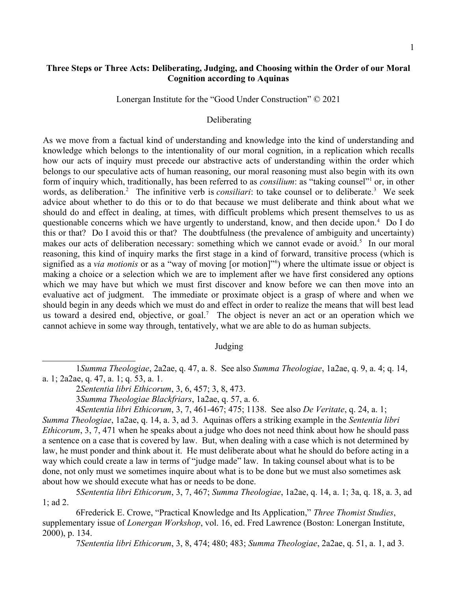## **Three Steps or Three Acts: Deliberating, Judging, and Choosing within the Order of our Moral Cognition according to Aquinas**

Lonergan Institute for the "Good Under Construction" © 2021

## Deliberating

As we move from a factual kind of understanding and knowledge into the kind of understanding and knowledge which belongs to the intentionality of our moral cognition, in a replication which recalls how our acts of inquiry must precede our abstractive acts of understanding within the order which belongs to our speculative acts of human reasoning, our moral reasoning must also begin with its own form of inquiry which, traditionally, has been referred to as *consilium*: as "taking counsel"<sup>[1](#page-0-0)</sup> or, in other words, as deliberation.<sup>[2](#page-0-1)</sup> The infinitive verb is *consiliari*: to take counsel or to deliberate.<sup>[3](#page-0-2)</sup> We seek advice about whether to do this or to do that because we must deliberate and think about what we should do and effect in dealing, at times, with difficult problems which present themselves to us as questionable concerns which we have urgently to understand, know, and then decide upon.<sup>[4](#page-0-3)</sup> Do I do this or that? Do I avoid this or that? The doubtfulness (the prevalence of ambiguity and uncertainty) makes our acts of deliberation necessary: something which we cannot evade or avoid.<sup>[5](#page-0-4)</sup> In our moral reasoning, this kind of inquiry marks the first stage in a kind of forward, transitive process (which is signified as a *via motionis* or as a "way of moving [or motion]"[6](#page-0-5) ) where the ultimate issue or object is making a choice or a selection which we are to implement after we have first considered any options which we may have but which we must first discover and know before we can then move into an evaluative act of judgment. The immediate or proximate object is a grasp of where and when we should begin in any deeds which we must do and effect in order to realize the means that will best lead us toward a desired end, objective, or goal.<sup>[7](#page-0-6)</sup> The object is never an act or an operation which we cannot achieve in some way through, tentatively, what we are able to do as human subjects.

## Judging

1*Summa Theologiae*, 2a2ae, q. 47, a. 8. See also *Summa Theologiae*, 1a2ae, q. 9, a. 4; q. 14, a. 1; 2a2ae, q. 47, a. 1; q. 53, a. 1.

4*Sententia libri Ethicorum*, 3, 7, 461-467; 475; 1138. See also *De Veritate*, q. 24, a. 1; *Summa Theologiae*, 1a2ae, q. 14, a. 3, ad 3. Aquinas offers a striking example in the *Sententia libri Ethicorum*, 3, 7, 471 when he speaks about a judge who does not need think about how he should pass a sentence on a case that is covered by law. But, when dealing with a case which is not determined by law, he must ponder and think about it. He must deliberate about what he should do before acting in a way which could create a law in terms of "judge made" law. In taking counsel about what is to be done, not only must we sometimes inquire about what is to be done but we must also sometimes ask about how we should execute what has or needs to be done.

<span id="page-0-4"></span>5*Sententia libri Ethicorum*, 3, 7, 467; *Summa Theologiae*, 1a2ae, q. 14, a. 1; 3a, q. 18, a. 3, ad 1; ad 2.

6Frederick E. Crowe, "Practical Knowledge and Its Application," *Three Thomist Studies*, supplementary issue of *Lonergan Workshop*, vol. 16, ed. Fred Lawrence (Boston: Lonergan Institute, 2000), p. 134.

<span id="page-0-6"></span><span id="page-0-5"></span>7*Sententia libri Ethicorum*, 3, 8, 474; 480; 483; *Summa Theologiae*, 2a2ae, q. 51, a. 1, ad 3.

<span id="page-0-1"></span><span id="page-0-0"></span><sup>2</sup>*Sententia libri Ethicorum*, 3, 6, 457; 3, 8, 473.

<span id="page-0-3"></span><span id="page-0-2"></span><sup>3</sup>*Summa Theologiae Blackfriars*, 1a2ae, q. 57, a. 6.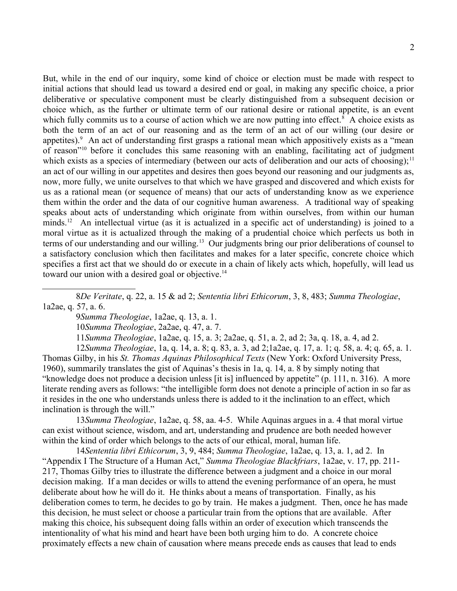But, while in the end of our inquiry, some kind of choice or election must be made with respect to initial actions that should lead us toward a desired end or goal, in making any specific choice, a prior deliberative or speculative component must be clearly distinguished from a subsequent decision or choice which, as the further or ultimate term of our rational desire or rational appetite, is an event which fully commits us to a course of action which we are now putting into effect.<sup>[8](#page-1-0)</sup> A choice exists as both the term of an act of our reasoning and as the term of an act of our willing (our desire or appetites).<sup>[9](#page-1-1)</sup> An act of understanding first grasps a rational mean which appositively exists as a "mean of reason<sup>"[10](#page-1-2)</sup> before it concludes this same reasoning with an enabling, facilitating act of judgment which exists as a species of intermediary (between our acts of deliberation and our acts of choosing):  $11$ an act of our willing in our appetites and desires then goes beyond our reasoning and our judgments as, now, more fully, we unite ourselves to that which we have grasped and discovered and which exists for us as a rational mean (or sequence of means) that our acts of understanding know as we experience them within the order and the data of our cognitive human awareness. A traditional way of speaking speaks about acts of understanding which originate from within ourselves, from within our human minds.<sup>[12](#page-1-4)</sup> An intellectual virtue (as it is actualized in a specific act of understanding) is joined to a moral virtue as it is actualized through the making of a prudential choice which perfects us both in terms of our understanding and our willing.<sup>[13](#page-1-5)</sup> Our judgments bring our prior deliberations of counsel to a satisfactory conclusion which then facilitates and makes for a later specific, concrete choice which specifies a first act that we should do or execute in a chain of likely acts which, hopefully, will lead us toward our union with a desired goal or objective.<sup>[14](#page-1-6)</sup>

<span id="page-1-1"></span><span id="page-1-0"></span>9*Summa Theologiae*, 1a2ae, q. 13, a. 1.

<span id="page-1-2"></span>10*Summa Theologiae*, 2a2ae, q. 47, a. 7.

<span id="page-1-4"></span><span id="page-1-3"></span>11*Summa Theologiae*, 1a2ae, q. 15, a. 3; 2a2ae, q. 51, a. 2, ad 2; 3a, q. 18, a. 4, ad 2.

12*Summa Theologiae*, 1a, q. 14, a. 8; q. 83, a. 3, ad 2;1a2ae, q. 17, a. 1; q. 58, a. 4; q. 65, a. 1. Thomas Gilby, in his *St. Thomas Aquinas Philosophical Texts* (New York: Oxford University Press, 1960), summarily translates the gist of Aquinas's thesis in 1a, q. 14, a. 8 by simply noting that "knowledge does not produce a decision unless [it is] influenced by appetite" (p. 111, n. 316). A more literate rending avers as follows: "the intelligible form does not denote a principle of action in so far as it resides in the one who understands unless there is added to it the inclination to an effect, which inclination is through the will."

<span id="page-1-5"></span>13*Summa Theologiae*, 1a2ae, q. 58, aa. 4-5. While Aquinas argues in a. 4 that moral virtue can exist without science, wisdom, and art, understanding and prudence are both needed however within the kind of order which belongs to the acts of our ethical, moral, human life.

<span id="page-1-6"></span>14*Sententia libri Ethicorum*, 3, 9, 484; *Summa Theologiae*, 1a2ae, q. 13, a. 1, ad 2. In "Appendix I The Structure of a Human Act," *Summa Theologiae Blackfriars*, 1a2ae, v. 17, pp. 211- 217, Thomas Gilby tries to illustrate the difference between a judgment and a choice in our moral decision making. If a man decides or wills to attend the evening performance of an opera, he must deliberate about how he will do it. He thinks about a means of transportation. Finally, as his deliberation comes to term, he decides to go by train. He makes a judgment. Then, once he has made this decision, he must select or choose a particular train from the options that are available. After making this choice, his subsequent doing falls within an order of execution which transcends the intentionality of what his mind and heart have been both urging him to do. A concrete choice proximately effects a new chain of causation where means precede ends as causes that lead to ends

<sup>8</sup>*De Veritate*, q. 22, a. 15 & ad 2; *Sententia libri Ethicorum*, 3, 8, 483; *Summa Theologiae*, 1a2ae, q. 57, a. 6.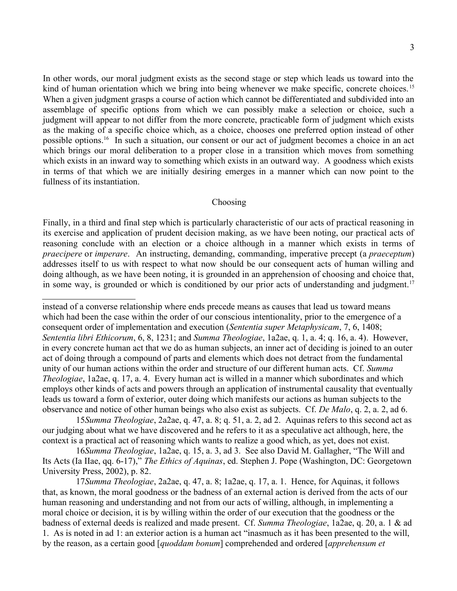In other words, our moral judgment exists as the second stage or step which leads us toward into the kind of human orientation which we bring into being whenever we make specific, concrete choices.<sup>[15](#page-2-0)</sup> When a given judgment grasps a course of action which cannot be differentiated and subdivided into an assemblage of specific options from which we can possibly make a selection or choice, such a judgment will appear to not differ from the more concrete, practicable form of judgment which exists as the making of a specific choice which, as a choice, chooses one preferred option instead of other possible options.[16](#page-2-1) In such a situation, our consent or our act of judgment becomes a choice in an act which brings our moral deliberation to a proper close in a transition which moves from something which exists in an inward way to something which exists in an outward way. A goodness which exists in terms of that which we are initially desiring emerges in a manner which can now point to the fullness of its instantiation.

## Choosing

Finally, in a third and final step which is particularly characteristic of our acts of practical reasoning in its exercise and application of prudent decision making, as we have been noting, our practical acts of reasoning conclude with an election or a choice although in a manner which exists in terms of *praecipere* or *imperare*. An instructing, demanding, commanding, imperative precept (a *praeceptum*) addresses itself to us with respect to what now should be our consequent acts of human willing and doing although, as we have been noting, it is grounded in an apprehension of choosing and choice that, in some way, is grounded or which is conditioned by our prior acts of understanding and judgment.<sup>[17](#page-2-2)</sup>

instead of a converse relationship where ends precede means as causes that lead us toward means which had been the case within the order of our conscious intentionality, prior to the emergence of a consequent order of implementation and execution (*Sententia super Metaphysicam*, 7, 6, 1408; *Sententia libri Ethicorum*, 6, 8, 1231; and *Summa Theologiae*, 1a2ae, q. 1, a. 4; q. 16, a. 4). However, in every concrete human act that we do as human subjects, an inner act of deciding is joined to an outer act of doing through a compound of parts and elements which does not detract from the fundamental unity of our human actions within the order and structure of our different human acts. Cf. *Summa Theologiae*, 1a2ae, q. 17, a. 4. Every human act is willed in a manner which subordinates and which employs other kinds of acts and powers through an application of instrumental causality that eventually leads us toward a form of exterior, outer doing which manifests our actions as human subjects to the observance and notice of other human beings who also exist as subjects. Cf. *De Malo*, q. 2, a. 2, ad 6.

<span id="page-2-0"></span>15*Summa Theologiae*, 2a2ae, q. 47, a. 8; q. 51, a. 2, ad 2. Aquinas refers to this second act as our judging about what we have discovered and he refers to it as a speculative act although, here, the context is a practical act of reasoning which wants to realize a good which, as yet, does not exist.

<span id="page-2-1"></span>16*Summa Theologiae*, 1a2ae, q. 15, a. 3, ad 3. See also David M. Gallagher, "The Will and Its Acts (Ia IIae, qq. 6-17)," *The Ethics of Aquinas*, ed. Stephen J. Pope (Washington, DC: Georgetown University Press, 2002), p. 82.

<span id="page-2-2"></span>17*Summa Theologiae*, 2a2ae, q. 47, a. 8; 1a2ae, q. 17, a. 1. Hence, for Aquinas, it follows that, as known, the moral goodness or the badness of an external action is derived from the acts of our human reasoning and understanding and not from our acts of willing, although, in implementing a moral choice or decision, it is by willing within the order of our execution that the goodness or the badness of external deeds is realized and made present. Cf. *Summa Theologiae*, 1a2ae, q. 20, a. 1 & ad 1. As is noted in ad 1: an exterior action is a human act "inasmuch as it has been presented to the will, by the reason, as a certain good [*quoddam bonum*] comprehended and ordered [*apprehensum et*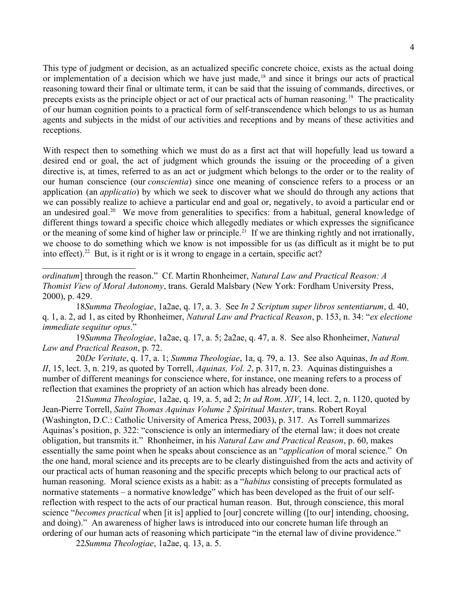This type of judgment or decision, as an actualized specific concrete choice, exists as the actual doing or implementation of a decision which we have just made,<sup>[18](#page-3-0)</sup> and since it brings our acts of practical reasoning toward their final or ultimate term, it can be said that the issuing of commands, directives, or precepts exists as the principle object or act of our practical acts of human reasoning.[19](#page-3-1) The practicality of our human cognition points to a practical form of self-transcendence which belongs to us as human agents and subjects in the midst of our activities and receptions and by means of these activities and receptions.

With respect then to something which we must do as a first act that will hopefully lead us toward a desired end or goal, the act of judgment which grounds the issuing or the proceeding of a given directive is, at times, referred to as an act or judgment which belongs to the order or to the reality of our human conscience (our *conscientia*) since one meaning of conscience refers to a process or an application (an *applicatio*) by which we seek to discover what we should do through any actions that we can possibly realize to achieve a particular end and goal or, negatively, to avoid a particular end or an undesired goal.<sup>[20](#page-3-2)</sup> We move from generalities to specifics: from a habitual, general knowledge of different things toward a specific choice which allegedly mediates or which expresses the significance or the meaning of some kind of higher law or principle.<sup>[21](#page-3-3)</sup> If we are thinking rightly and not irrationally, we choose to do something which we know is not impossible for us (as difficult as it might be to put into effect).<sup>[22](#page-3-4)</sup> But, is it right or is it wrong to engage in a certain, specific act?

<span id="page-3-1"></span>19*Summa Theologiae*, 1a2ae, q. 17, a. 5; 2a2ae, q. 47, a. 8. See also Rhonheimer, *Natural Law and Practical Reason*, p. 72.

<span id="page-3-2"></span>20*De Veritate*, q. 17, a. 1; *Summa Theologiae*, 1a, q. 79, a. 13. See also Aquinas, *In ad Rom. II*, 15, lect. 3, n. 219, as quoted by Torrell, *Aquinas, Vol. 2*, p. 317, n. 23. Aquinas distinguishes a number of different meanings for conscience where, for instance, one meaning refers to a process of reflection that examines the propriety of an action which has already been done.

<span id="page-3-3"></span>21*Summa Theologiae*, 1a2ae, q. 19, a. 5, ad 2; *In ad Rom. XIV*, 14, lect. 2, n. 1120, quoted by Jean-Pierre Torrell, *Saint Thomas Aquinas Volume 2 Spiritual Master*, trans. Robert Royal (Washington, D.C.: Catholic University of America Press, 2003), p. 317. As Torrell summarizes Aquinas's position, p. 322: "conscience is only an intermediary of the eternal law; it does not create obligation, but transmits it." Rhonheimer, in his *Natural Law and Practical Reason*, p. 60, makes essentially the same point when he speaks about conscience as an "*application* of moral science." On the one hand, moral science and its precepts are to be clearly distinguished from the acts and activity of our practical acts of human reasoning and the specific precepts which belong to our practical acts of human reasoning. Moral science exists as a habit: as a "*habitus* consisting of precepts formulated as normative statements – a normative knowledge" which has been developed as the fruit of our selfreflection with respect to the acts of our practical human reason. But, through conscience, this moral science "*becomes practical* when [it is] applied to [our] concrete willing ([to our] intending, choosing, and doing)." An awareness of higher laws is introduced into our concrete human life through an ordering of our human acts of reasoning which participate "in the eternal law of divine providence."

<span id="page-3-4"></span>22*Summa Theologiae*, 1a2ae, q. 13, a. 5.

*ordinatum*] through the reason." Cf. Martin Rhonheimer, *Natural Law and Practical Reason: A Thomist View of Moral Autonomy*, trans. Gerald Malsbary (New York: Fordham University Press, 2000), p. 429.

<span id="page-3-0"></span><sup>18</sup>*Summa Theologiae*, 1a2ae, q. 17, a. 3. See *In 2 Scriptum super libros sententiarum*, d. 40, q. 1, a. 2, ad 1, as cited by Rhonheimer, *Natural Law and Practical Reason*, p. 153, n. 34: "*ex electione immediate sequitur opus*."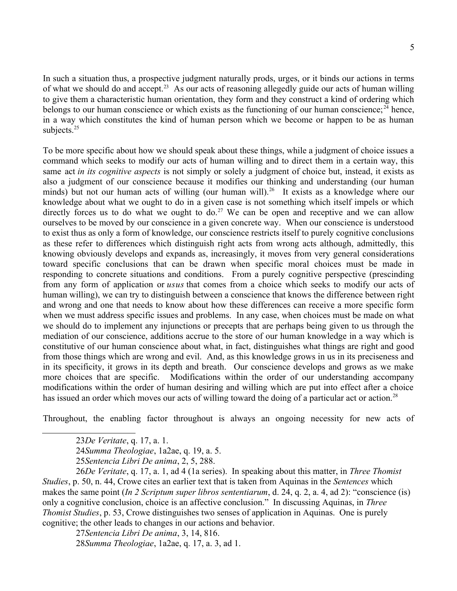In such a situation thus, a prospective judgment naturally prods, urges, or it binds our actions in terms of what we should do and accept.[23](#page-4-0) As our acts of reasoning allegedly guide our acts of human willing to give them a characteristic human orientation, they form and they construct a kind of ordering which belongs to our human conscience or which exists as the functioning of our human conscience;<sup>[24](#page-4-1)</sup> hence, in a way which constitutes the kind of human person which we become or happen to be as human subjects.<sup>[25](#page-4-2)</sup>

To be more specific about how we should speak about these things, while a judgment of choice issues a command which seeks to modify our acts of human willing and to direct them in a certain way, this same act *in its cognitive aspects* is not simply or solely a judgment of choice but, instead, it exists as also a judgment of our conscience because it modifies our thinking and understanding (our human minds) but not our human acts of willing (our human will).<sup>[26](#page-4-3)</sup> It exists as a knowledge where our knowledge about what we ought to do in a given case is not something which itself impels or which directly forces us to do what we ought to do.<sup>[27](#page-4-4)</sup> We can be open and receptive and we can allow ourselves to be moved by our conscience in a given concrete way. When our conscience is understood to exist thus as only a form of knowledge, our conscience restricts itself to purely cognitive conclusions as these refer to differences which distinguish right acts from wrong acts although, admittedly, this knowing obviously develops and expands as, increasingly, it moves from very general considerations toward specific conclusions that can be drawn when specific moral choices must be made in responding to concrete situations and conditions. From a purely cognitive perspective (prescinding from any form of application or *usus* that comes from a choice which seeks to modify our acts of human willing), we can try to distinguish between a conscience that knows the difference between right and wrong and one that needs to know about how these differences can receive a more specific form when we must address specific issues and problems. In any case, when choices must be made on what we should do to implement any injunctions or precepts that are perhaps being given to us through the mediation of our conscience, additions accrue to the store of our human knowledge in a way which is constitutive of our human conscience about what, in fact, distinguishes what things are right and good from those things which are wrong and evil. And, as this knowledge grows in us in its preciseness and in its specificity, it grows in its depth and breath. Our conscience develops and grows as we make more choices that are specific. Modifications within the order of our understanding accompany modifications within the order of human desiring and willing which are put into effect after a choice has issued an order which moves our acts of willing toward the doing of a particular act or action.<sup>[28](#page-4-5)</sup>

Throughout, the enabling factor throughout is always an ongoing necessity for new acts of

<span id="page-4-3"></span><span id="page-4-2"></span>25*Sentencia Libri De anima*, 2, 5, 288.

26*De Veritate*, q. 17, a. 1, ad 4 (1a series). In speaking about this matter, in *Three Thomist Studies*, p. 50, n. 44, Crowe cites an earlier text that is taken from Aquinas in the *Sentences* which makes the same point (*In 2 Scriptum super libros sententiarum*, d. 24, q. 2, a. 4, ad 2): "conscience (is) only a cognitive conclusion, choice is an affective conclusion." In discussing Aquinas, in *Three Thomist Studies*, p. 53, Crowe distinguishes two senses of application in Aquinas. One is purely cognitive; the other leads to changes in our actions and behavior.

<span id="page-4-5"></span><span id="page-4-4"></span>27*Sentencia Libri De anima*, 3, 14, 816. 28*Summa Theologiae*, 1a2ae, q. 17, a. 3, ad 1.

<span id="page-4-0"></span><sup>23</sup>*De Veritate*, q. 17, a. 1.

<span id="page-4-1"></span><sup>24</sup>*Summa Theologiae*, 1a2ae, q. 19, a. 5.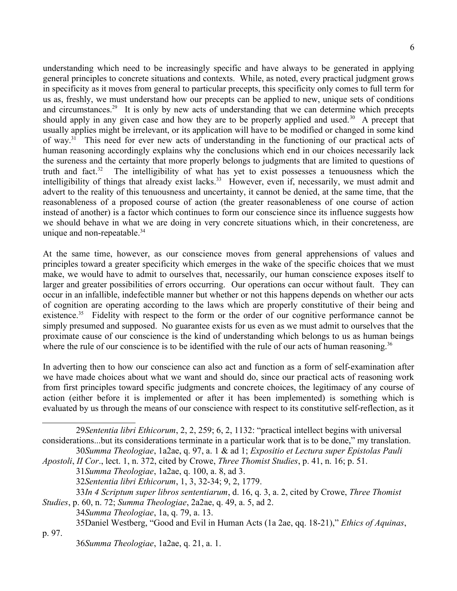understanding which need to be increasingly specific and have always to be generated in applying general principles to concrete situations and contexts. While, as noted, every practical judgment grows in specificity as it moves from general to particular precepts, this specificity only comes to full term for us as, freshly, we must understand how our precepts can be applied to new, unique sets of conditions and circumstances.<sup>[29](#page-5-0)</sup> It is only by new acts of understanding that we can determine which precepts should apply in any given case and how they are to be properly applied and used.<sup>[30](#page-5-1)</sup> A precept that usually applies might be irrelevant, or its application will have to be modified or changed in some kind of way.[31](#page-5-2) This need for ever new acts of understanding in the functioning of our practical acts of human reasoning accordingly explains why the conclusions which end in our choices necessarily lack the sureness and the certainty that more properly belongs to judgments that are limited to questions of truth and fact.<sup>[32](#page-5-3)</sup> The intelligibility of what has yet to exist possesses a tenuousness which the intelligibility of things that already exist lacks.<sup>[33](#page-5-4)</sup> However, even if, necessarily, we must admit and advert to the reality of this tenuousness and uncertainty, it cannot be denied, at the same time, that the reasonableness of a proposed course of action (the greater reasonableness of one course of action instead of another) is a factor which continues to form our conscience since its influence suggests how we should behave in what we are doing in very concrete situations which, in their concreteness, are unique and non-repeatable.<sup>[34](#page-5-5)</sup>

At the same time, however, as our conscience moves from general apprehensions of values and principles toward a greater specificity which emerges in the wake of the specific choices that we must make, we would have to admit to ourselves that, necessarily, our human conscience exposes itself to larger and greater possibilities of errors occurring. Our operations can occur without fault. They can occur in an infallible, indefectible manner but whether or not this happens depends on whether our acts of cognition are operating according to the laws which are properly constitutive of their being and existence.<sup>[35](#page-5-6)</sup> Fidelity with respect to the form or the order of our cognitive performance cannot be simply presumed and supposed. No guarantee exists for us even as we must admit to ourselves that the proximate cause of our conscience is the kind of understanding which belongs to us as human beings where the rule of our conscience is to be identified with the rule of our acts of human reasoning.<sup>[36](#page-5-7)</sup>

In adverting then to how our conscience can also act and function as a form of self-examination after we have made choices about what we want and should do, since our practical acts of reasoning work from first principles toward specific judgments and concrete choices, the legitimacy of any course of action (either before it is implemented or after it has been implemented) is something which is evaluated by us through the means of our conscience with respect to its constitutive self-reflection, as it

<span id="page-5-0"></span>29*Sententia libri Ethicorum*, 2, 2, 259; 6, 2, 1132: "practical intellect begins with universal considerations...but its considerations terminate in a particular work that is to be done," my translation. 30*Summa Theologiae*, 1a2ae, q. 97, a. 1 & ad 1; *Expositio et Lectura super Epistolas Pauli* 

*Apostoli*, *II Cor*., lect. 1, n. 372, cited by Crowe, *Three Thomist Studies*, p. 41, n. 16; p. 51.

<span id="page-5-2"></span><span id="page-5-1"></span>31*Summa Theologiae*, 1a2ae, q. 100, a. 8, ad 3.

- <span id="page-5-4"></span><span id="page-5-3"></span>32*Sententia libri Ethicorum*, 1, 3, 32-34; 9, 2, 1779.
- 33*In 4 Scriptum super libros sententiarum*, d. 16, q. 3, a. 2, cited by Crowe, *Three Thomist Studies*, p. 60, n. 72; *Summa Theologiae*, 2a2ae, q. 49, a. 5, ad 2.

<span id="page-5-5"></span>34*Summa Theologiae*, 1a, q. 79, a. 13.

<span id="page-5-6"></span>35Daniel Westberg, "Good and Evil in Human Acts (1a 2ae, qq. 18-21)," *Ethics of Aquinas*,

p. 97.

<span id="page-5-7"></span>36*Summa Theologiae*, 1a2ae, q. 21, a. 1.